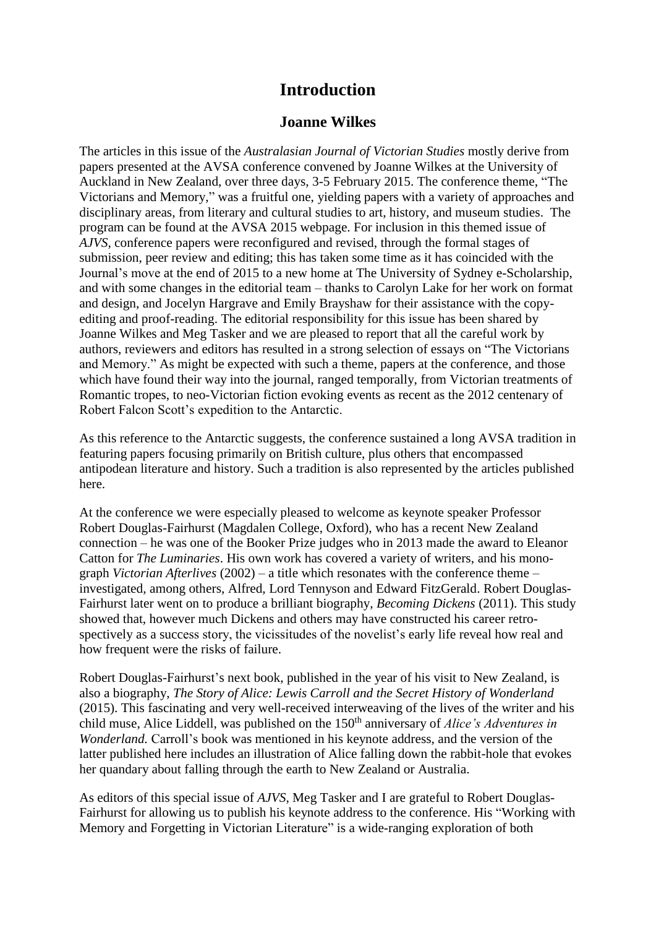## **Introduction**

## **Joanne Wilkes**

The articles in this issue of the *Australasian Journal of Victorian Studies* mostly derive from papers presented at the AVSA conference convened by Joanne Wilkes at the University of Auckland in New Zealand, over three days, 3-5 February 2015. The conference theme, "The Victorians and Memory," was a fruitful one, yielding papers with a variety of approaches and disciplinary areas, from literary and cultural studies to art, history, and museum studies. The program can be found at the AVSA 2015 webpage. For inclusion in this themed issue of *AJVS*, conference papers were reconfigured and revised, through the formal stages of submission, peer review and editing; this has taken some time as it has coincided with the Journal's move at the end of 2015 to a new home at The University of Sydney e-Scholarship, and with some changes in the editorial team – thanks to Carolyn Lake for her work on format and design, and Jocelyn Hargrave and Emily Brayshaw for their assistance with the copyediting and proof-reading. The editorial responsibility for this issue has been shared by Joanne Wilkes and Meg Tasker and we are pleased to report that all the careful work by authors, reviewers and editors has resulted in a strong selection of essays on "The Victorians and Memory." As might be expected with such a theme, papers at the conference, and those which have found their way into the journal, ranged temporally, from Victorian treatments of Romantic tropes, to neo-Victorian fiction evoking events as recent as the 2012 centenary of Robert Falcon Scott's expedition to the Antarctic.

As this reference to the Antarctic suggests, the conference sustained a long AVSA tradition in featuring papers focusing primarily on British culture, plus others that encompassed antipodean literature and history. Such a tradition is also represented by the articles published here.

At the conference we were especially pleased to welcome as keynote speaker Professor Robert Douglas-Fairhurst (Magdalen College, Oxford), who has a recent New Zealand connection – he was one of the Booker Prize judges who in 2013 made the award to Eleanor Catton for *The Luminaries*. His own work has covered a variety of writers, and his monograph *Victorian Afterlives* (2002) – a title which resonates with the conference theme – investigated, among others, Alfred, Lord Tennyson and Edward FitzGerald. Robert Douglas-Fairhurst later went on to produce a brilliant biography, *Becoming Dickens* (2011). This study showed that, however much Dickens and others may have constructed his career retrospectively as a success story, the vicissitudes of the novelist's early life reveal how real and how frequent were the risks of failure.

Robert Douglas-Fairhurst's next book, published in the year of his visit to New Zealand, is also a biography, *The Story of Alice: Lewis Carroll and the Secret History of Wonderland* (2015). This fascinating and very well-received interweaving of the lives of the writer and his child muse, Alice Liddell, was published on the 150<sup>th</sup> anniversary of *Alice's Adventures in Wonderland.* Carroll's book was mentioned in his keynote address, and the version of the latter published here includes an illustration of Alice falling down the rabbit-hole that evokes her quandary about falling through the earth to New Zealand or Australia.

As editors of this special issue of *AJVS,* Meg Tasker and I are grateful to Robert Douglas-Fairhurst for allowing us to publish his keynote address to the conference. His "Working with Memory and Forgetting in Victorian Literature" is a wide-ranging exploration of both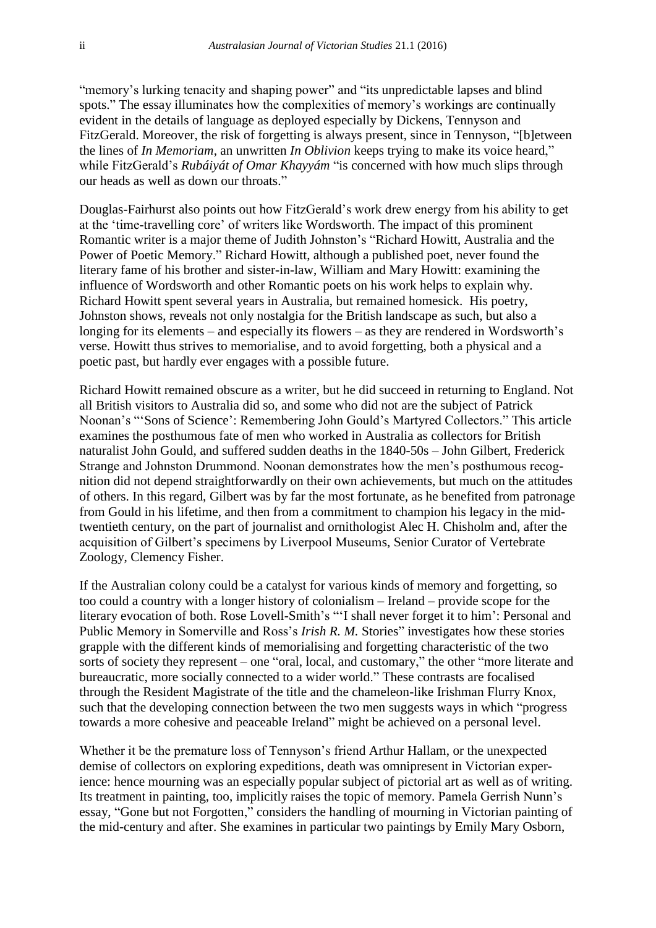"memory's lurking tenacity and shaping power" and "its unpredictable lapses and blind spots." The essay illuminates how the complexities of memory's workings are continually evident in the details of language as deployed especially by Dickens, Tennyson and FitzGerald. Moreover, the risk of forgetting is always present, since in Tennyson, "[b]etween the lines of *In Memoriam*, an unwritten *In Oblivion* keeps trying to make its voice heard," while FitzGerald's *Rubáiyát of Omar Khayyám* "is concerned with how much slips through our heads as well as down our throats."

Douglas-Fairhurst also points out how FitzGerald's work drew energy from his ability to get at the 'time-travelling core' of writers like Wordsworth. The impact of this prominent Romantic writer is a major theme of Judith Johnston's "Richard Howitt, Australia and the Power of Poetic Memory." Richard Howitt, although a published poet, never found the literary fame of his brother and sister-in-law, William and Mary Howitt: examining the influence of Wordsworth and other Romantic poets on his work helps to explain why. Richard Howitt spent several years in Australia, but remained homesick. His poetry, Johnston shows, reveals not only nostalgia for the British landscape as such, but also a longing for its elements – and especially its flowers – as they are rendered in Wordsworth's verse. Howitt thus strives to memorialise, and to avoid forgetting, both a physical and a poetic past, but hardly ever engages with a possible future.

Richard Howitt remained obscure as a writer, but he did succeed in returning to England. Not all British visitors to Australia did so, and some who did not are the subject of Patrick Noonan's "'Sons of Science': Remembering John Gould's Martyred Collectors." This article examines the posthumous fate of men who worked in Australia as collectors for British naturalist John Gould, and suffered sudden deaths in the 1840-50s – John Gilbert, Frederick Strange and Johnston Drummond. Noonan demonstrates how the men's posthumous recognition did not depend straightforwardly on their own achievements, but much on the attitudes of others. In this regard, Gilbert was by far the most fortunate, as he benefited from patronage from Gould in his lifetime, and then from a commitment to champion his legacy in the midtwentieth century, on the part of journalist and ornithologist Alec H. Chisholm and, after the acquisition of Gilbert's specimens by Liverpool Museums, Senior Curator of Vertebrate Zoology, Clemency Fisher.

If the Australian colony could be a catalyst for various kinds of memory and forgetting, so too could a country with a longer history of colonialism – Ireland – provide scope for the literary evocation of both. Rose Lovell-Smith's "'I shall never forget it to him': Personal and Public Memory in Somerville and Ross's *Irish R. M.* Stories" investigates how these stories grapple with the different kinds of memorialising and forgetting characteristic of the two sorts of society they represent – one "oral, local, and customary," the other "more literate and bureaucratic, more socially connected to a wider world." These contrasts are focalised through the Resident Magistrate of the title and the chameleon-like Irishman Flurry Knox, such that the developing connection between the two men suggests ways in which "progress towards a more cohesive and peaceable Ireland" might be achieved on a personal level.

Whether it be the premature loss of Tennyson's friend Arthur Hallam, or the unexpected demise of collectors on exploring expeditions, death was omnipresent in Victorian experience: hence mourning was an especially popular subject of pictorial art as well as of writing. Its treatment in painting, too, implicitly raises the topic of memory. Pamela Gerrish Nunn's essay, "Gone but not Forgotten," considers the handling of mourning in Victorian painting of the mid-century and after. She examines in particular two paintings by Emily Mary Osborn,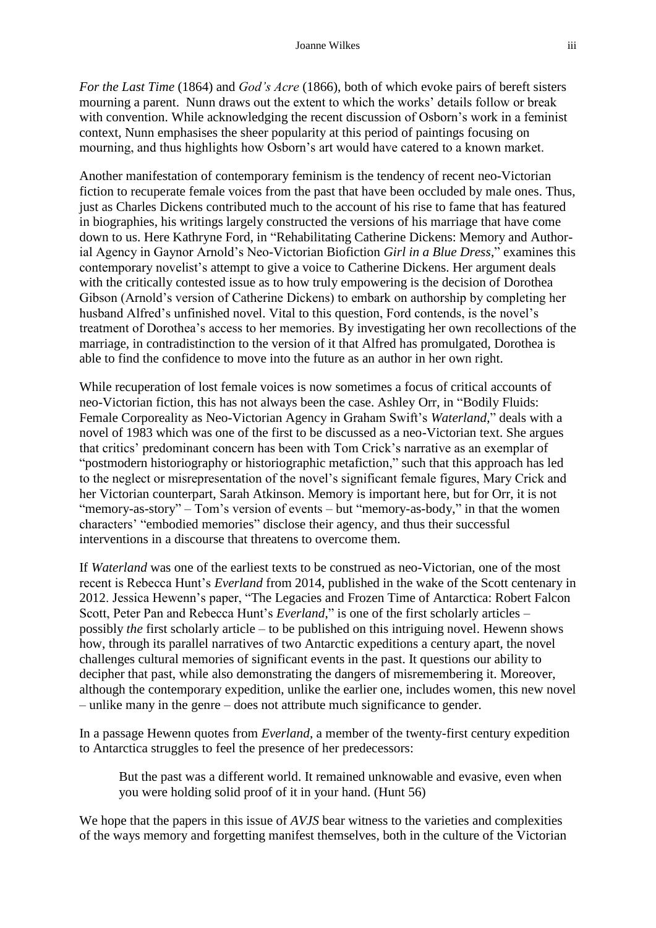*For the Last Time* (1864) and *God's Acre* (1866), both of which evoke pairs of bereft sisters mourning a parent. Nunn draws out the extent to which the works' details follow or break with convention. While acknowledging the recent discussion of Osborn's work in a feminist context, Nunn emphasises the sheer popularity at this period of paintings focusing on mourning, and thus highlights how Osborn's art would have catered to a known market.

Another manifestation of contemporary feminism is the tendency of recent neo-Victorian fiction to recuperate female voices from the past that have been occluded by male ones. Thus, just as Charles Dickens contributed much to the account of his rise to fame that has featured in biographies, his writings largely constructed the versions of his marriage that have come down to us. Here Kathryne Ford, in "Rehabilitating Catherine Dickens: Memory and Authorial Agency in Gaynor Arnold's Neo-Victorian Biofiction *Girl in a Blue Dress*," examines this contemporary novelist's attempt to give a voice to Catherine Dickens. Her argument deals with the critically contested issue as to how truly empowering is the decision of Dorothea Gibson (Arnold's version of Catherine Dickens) to embark on authorship by completing her husband Alfred's unfinished novel. Vital to this question, Ford contends, is the novel's treatment of Dorothea's access to her memories. By investigating her own recollections of the marriage, in contradistinction to the version of it that Alfred has promulgated, Dorothea is able to find the confidence to move into the future as an author in her own right.

While recuperation of lost female voices is now sometimes a focus of critical accounts of neo-Victorian fiction, this has not always been the case. Ashley Orr, in "Bodily Fluids: Female Corporeality as Neo-Victorian Agency in Graham Swift's *Waterland*," deals with a novel of 1983 which was one of the first to be discussed as a neo-Victorian text. She argues that critics' predominant concern has been with Tom Crick's narrative as an exemplar of "postmodern historiography or historiographic metafiction," such that this approach has led to the neglect or misrepresentation of the novel's significant female figures, Mary Crick and her Victorian counterpart, Sarah Atkinson. Memory is important here, but for Orr, it is not "memory-as-story" – Tom's version of events – but "memory-as-body," in that the women characters' "embodied memories" disclose their agency, and thus their successful interventions in a discourse that threatens to overcome them.

If *Waterland* was one of the earliest texts to be construed as neo-Victorian, one of the most recent is Rebecca Hunt's *Everland* from 2014, published in the wake of the Scott centenary in 2012. Jessica Hewenn's paper, "The Legacies and Frozen Time of Antarctica: Robert Falcon Scott, Peter Pan and Rebecca Hunt's *Everland*," is one of the first scholarly articles – possibly *the* first scholarly article – to be published on this intriguing novel. Hewenn shows how, through its parallel narratives of two Antarctic expeditions a century apart, the novel challenges cultural memories of significant events in the past. It questions our ability to decipher that past, while also demonstrating the dangers of misremembering it. Moreover, although the contemporary expedition, unlike the earlier one, includes women, this new novel – unlike many in the genre – does not attribute much significance to gender.

In a passage Hewenn quotes from *Everland*, a member of the twenty-first century expedition to Antarctica struggles to feel the presence of her predecessors:

But the past was a different world. It remained unknowable and evasive, even when you were holding solid proof of it in your hand. (Hunt 56)

We hope that the papers in this issue of *AVJS* bear witness to the varieties and complexities of the ways memory and forgetting manifest themselves, both in the culture of the Victorian